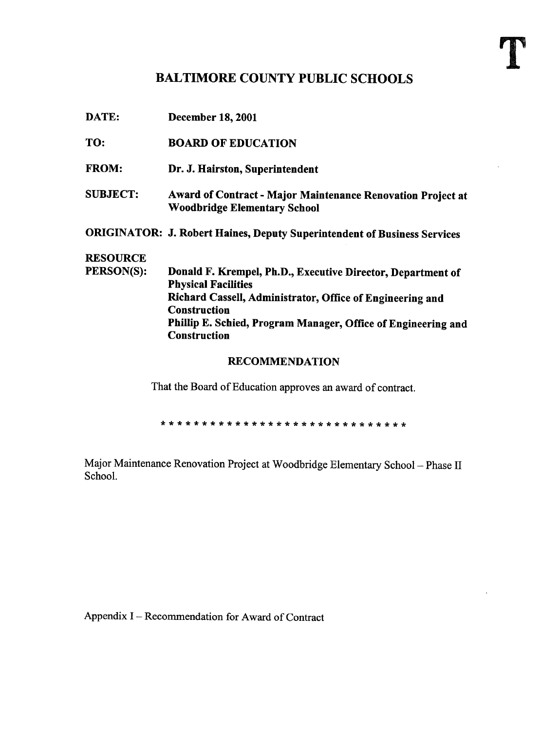## BALTIMORE COUNTY PUBLIC SCHOOLS

| <b>RECOMMENDATION</b> |                                                                                           |  |  |  |  |
|-----------------------|-------------------------------------------------------------------------------------------|--|--|--|--|
|                       | <b>Construction</b>                                                                       |  |  |  |  |
|                       | Phillip E. Schied, Program Manager, Office of Engineering and                             |  |  |  |  |
|                       | <b>Construction</b>                                                                       |  |  |  |  |
|                       | Richard Cassell, Administrator, Office of Engineering and                                 |  |  |  |  |
|                       | Donald F. Krempel, Ph.D., Executive Director, Department of<br><b>Physical Facilities</b> |  |  |  |  |
| PERSON(S):            |                                                                                           |  |  |  |  |
| <b>RESOURCE</b>       |                                                                                           |  |  |  |  |
|                       | <b>ORIGINATOR: J. Robert Haines, Deputy Superintendent of Business Services</b>           |  |  |  |  |
|                       | <b>Woodbridge Elementary School</b>                                                       |  |  |  |  |
| <b>SUBJECT:</b>       | Award of Contract - Major Maintenance Renovation Project at                               |  |  |  |  |
| <b>FROM:</b>          | Dr. J. Hairston, Superintendent                                                           |  |  |  |  |
|                       |                                                                                           |  |  |  |  |
| TO:                   | <b>BOARD OF EDUCATION</b>                                                                 |  |  |  |  |
| DATE:                 | <b>December 18, 2001</b>                                                                  |  |  |  |  |

That the Board of Education approves an award of contract.

Major Maintenance Renovation Project at Woodbridge Elementary School - Phase II School.

Appendix I - Recommendation for Award of Contract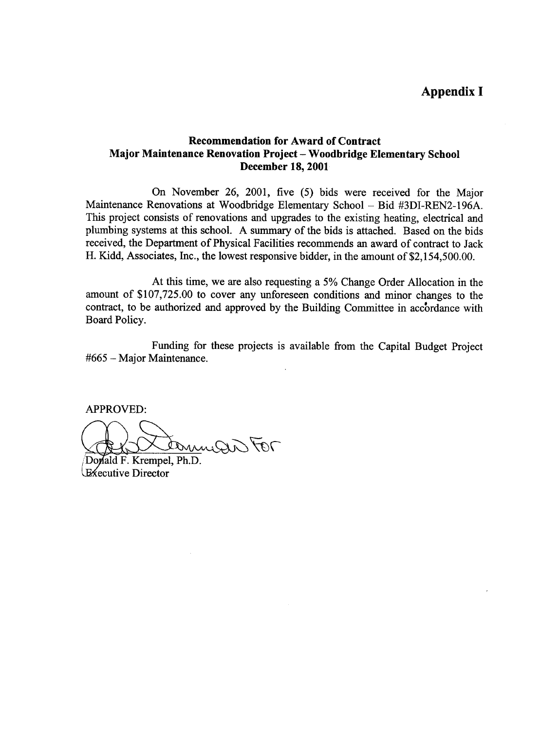## Appendix <sup>I</sup>

## Recommendation for Award of Contract Major Maintenance Renovation Project - Woodbridge Elementary School December 18, 2001

On November 26, 2001, five (5) bids were received for the Major Maintenance Renovations at Woodbridge Elementary School - Bid #3DI-REN2-196A. This project consists of renovations and upgrades to the existing heating, electrical and plumbing systems at this school. A summary of the bids is attached. Based on the bids received, the Department of Physical Facilities recommends an award of contract to Jack H. Kidd, Associates, Inc., the lowest responsive bidder, in the amount of \$2,154,500.00.

At this time, we are also requesting <sup>a</sup> 5% Change Order Allocation in the amount of \$107,725.00 to cover any unforeseen conditions and minor changes to the contract, to be authorized and approved by the Building Committee in accordance with Board Policy.

Funding for these projects is available from the Capital Budget Project #665 - Major Maintenance.

APPROVED:

DominiQui FOT

Donald F. Krempel, Ph.D. **Executive Director**